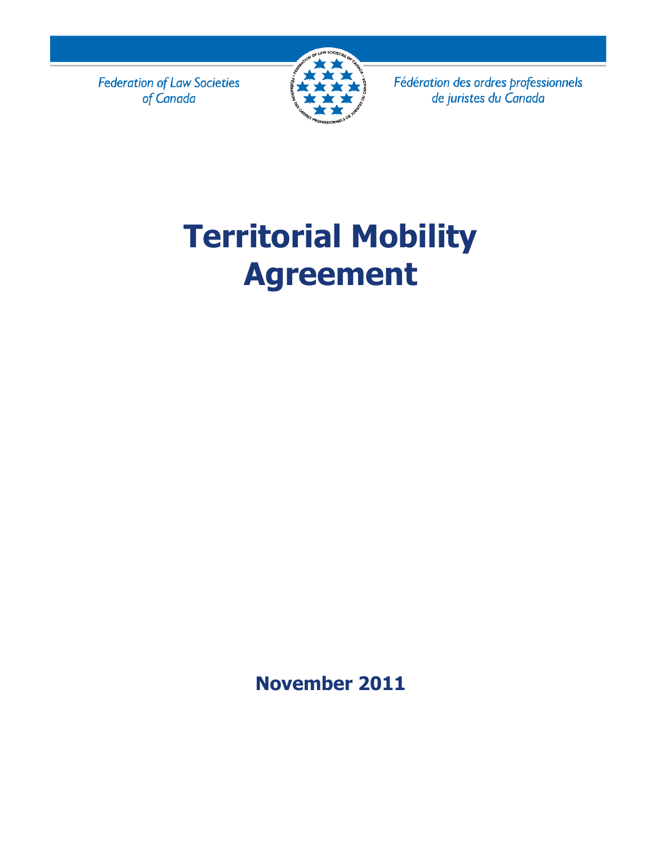**Federation of Law Societies** of Canada



Fédération des ordres professionnels de juristes du Canada

# **Territorial Mobility Agreement**

**November 2011**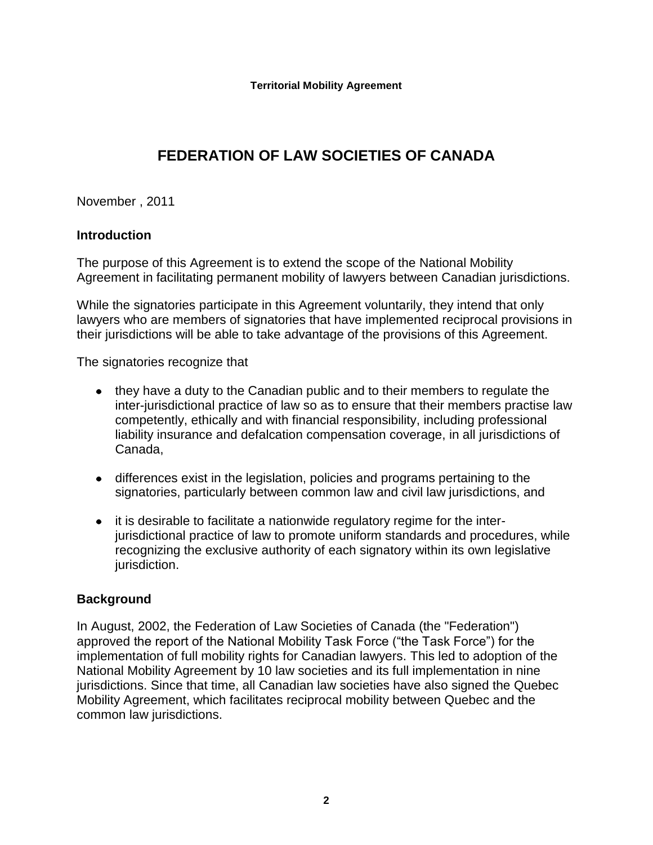# **FEDERATION OF LAW SOCIETIES OF CANADA**

# November , 2011

# **Introduction**

The purpose of this Agreement is to extend the scope of the National Mobility Agreement in facilitating permanent mobility of lawyers between Canadian jurisdictions.

While the signatories participate in this Agreement voluntarily, they intend that only lawyers who are members of signatories that have implemented reciprocal provisions in their jurisdictions will be able to take advantage of the provisions of this Agreement.

The signatories recognize that

- they have a duty to the Canadian public and to their members to regulate the inter-jurisdictional practice of law so as to ensure that their members practise law competently, ethically and with financial responsibility, including professional liability insurance and defalcation compensation coverage, in all jurisdictions of Canada,
- differences exist in the legislation, policies and programs pertaining to the signatories, particularly between common law and civil law jurisdictions, and
- it is desirable to facilitate a nationwide regulatory regime for the interjurisdictional practice of law to promote uniform standards and procedures, while recognizing the exclusive authority of each signatory within its own legislative jurisdiction.

# **Background**

In August, 2002, the Federation of Law Societies of Canada (the "Federation") approved the report of the National Mobility Task Force ("the Task Force") for the implementation of full mobility rights for Canadian lawyers. This led to adoption of the National Mobility Agreement by 10 law societies and its full implementation in nine jurisdictions. Since that time, all Canadian law societies have also signed the Quebec Mobility Agreement, which facilitates reciprocal mobility between Quebec and the common law jurisdictions.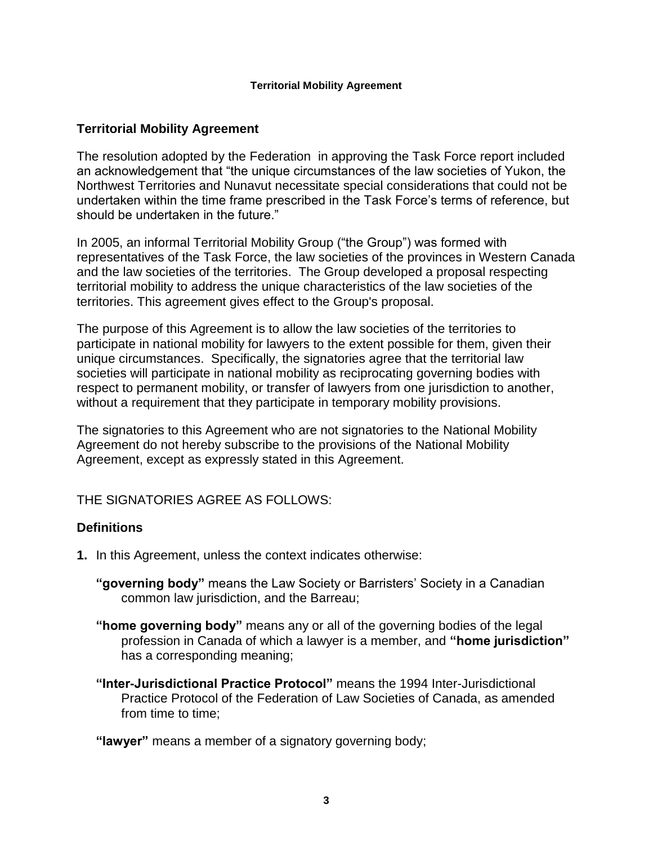# **Territorial Mobility Agreement**

The resolution adopted by the Federation in approving the Task Force report included an acknowledgement that "the unique circumstances of the law societies of Yukon, the Northwest Territories and Nunavut necessitate special considerations that could not be undertaken within the time frame prescribed in the Task Force's terms of reference, but should be undertaken in the future."

In 2005, an informal Territorial Mobility Group ("the Group") was formed with representatives of the Task Force, the law societies of the provinces in Western Canada and the law societies of the territories. The Group developed a proposal respecting territorial mobility to address the unique characteristics of the law societies of the territories. This agreement gives effect to the Group's proposal.

The purpose of this Agreement is to allow the law societies of the territories to participate in national mobility for lawyers to the extent possible for them, given their unique circumstances. Specifically, the signatories agree that the territorial law societies will participate in national mobility as reciprocating governing bodies with respect to permanent mobility, or transfer of lawyers from one jurisdiction to another, without a requirement that they participate in temporary mobility provisions.

The signatories to this Agreement who are not signatories to the National Mobility Agreement do not hereby subscribe to the provisions of the National Mobility Agreement, except as expressly stated in this Agreement.

THE SIGNATORIES AGREE AS FOLLOWS:

# **Definitions**

- **1.** In this Agreement, unless the context indicates otherwise:
	- **"governing body"** means the Law Society or Barristers' Society in a Canadian common law jurisdiction, and the Barreau;
	- **"home governing body"** means any or all of the governing bodies of the legal profession in Canada of which a lawyer is a member, and **"home jurisdiction"** has a corresponding meaning;
	- **"Inter-Jurisdictional Practice Protocol"** means the 1994 Inter-Jurisdictional Practice Protocol of the Federation of Law Societies of Canada, as amended from time to time;

**"lawyer"** means a member of a signatory governing body;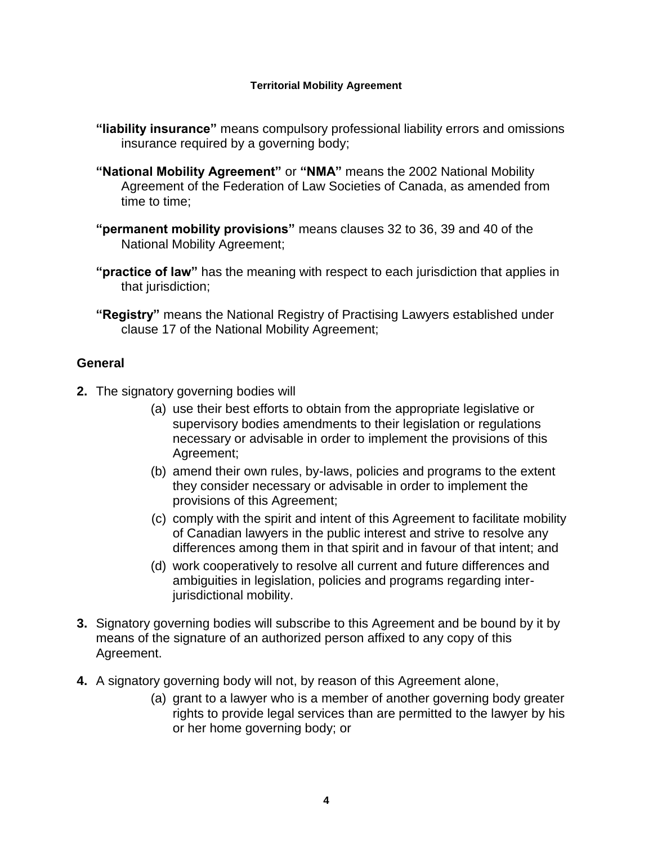- **"liability insurance"** means compulsory professional liability errors and omissions insurance required by a governing body;
- **"National Mobility Agreement"** or **"NMA"** means the 2002 National Mobility Agreement of the Federation of Law Societies of Canada, as amended from time to time;
- **"permanent mobility provisions"** means clauses 32 to 36, 39 and 40 of the National Mobility Agreement;
- **"practice of law"** has the meaning with respect to each jurisdiction that applies in that jurisdiction;
- **"Registry"** means the National Registry of Practising Lawyers established under clause 17 of the National Mobility Agreement;

# **General**

- **2.** The signatory governing bodies will
	- (a) use their best efforts to obtain from the appropriate legislative or supervisory bodies amendments to their legislation or regulations necessary or advisable in order to implement the provisions of this Agreement;
	- (b) amend their own rules, by-laws, policies and programs to the extent they consider necessary or advisable in order to implement the provisions of this Agreement;
	- (c) comply with the spirit and intent of this Agreement to facilitate mobility of Canadian lawyers in the public interest and strive to resolve any differences among them in that spirit and in favour of that intent; and
	- (d) work cooperatively to resolve all current and future differences and ambiguities in legislation, policies and programs regarding interjurisdictional mobility.
- **3.** Signatory governing bodies will subscribe to this Agreement and be bound by it by means of the signature of an authorized person affixed to any copy of this Agreement.
- **4.** A signatory governing body will not, by reason of this Agreement alone,
	- (a) grant to a lawyer who is a member of another governing body greater rights to provide legal services than are permitted to the lawyer by his or her home governing body; or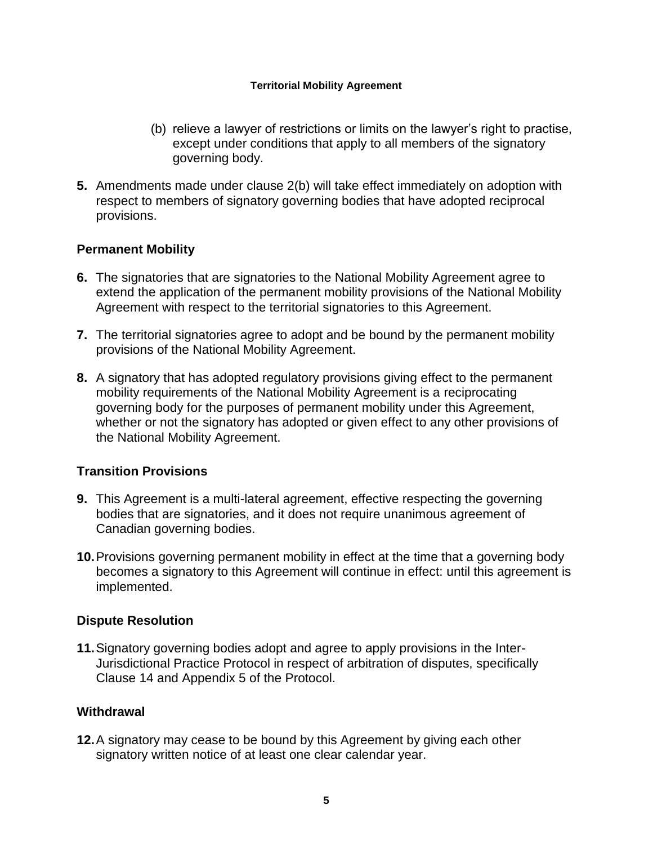- (b) relieve a lawyer of restrictions or limits on the lawyer's right to practise, except under conditions that apply to all members of the signatory governing body.
- **5.** Amendments made under clause 2(b) will take effect immediately on adoption with respect to members of signatory governing bodies that have adopted reciprocal provisions.

# **Permanent Mobility**

- **6.** The signatories that are signatories to the National Mobility Agreement agree to extend the application of the permanent mobility provisions of the National Mobility Agreement with respect to the territorial signatories to this Agreement.
- **7.** The territorial signatories agree to adopt and be bound by the permanent mobility provisions of the National Mobility Agreement.
- **8.** A signatory that has adopted regulatory provisions giving effect to the permanent mobility requirements of the National Mobility Agreement is a reciprocating governing body for the purposes of permanent mobility under this Agreement, whether or not the signatory has adopted or given effect to any other provisions of the National Mobility Agreement.

# **Transition Provisions**

- **9.** This Agreement is a multi-lateral agreement, effective respecting the governing bodies that are signatories, and it does not require unanimous agreement of Canadian governing bodies.
- **10.**Provisions governing permanent mobility in effect at the time that a governing body becomes a signatory to this Agreement will continue in effect: until this agreement is implemented.

# **Dispute Resolution**

**11.**Signatory governing bodies adopt and agree to apply provisions in the Inter-Jurisdictional Practice Protocol in respect of arbitration of disputes, specifically Clause 14 and Appendix 5 of the Protocol.

# **Withdrawal**

**12.**A signatory may cease to be bound by this Agreement by giving each other signatory written notice of at least one clear calendar year.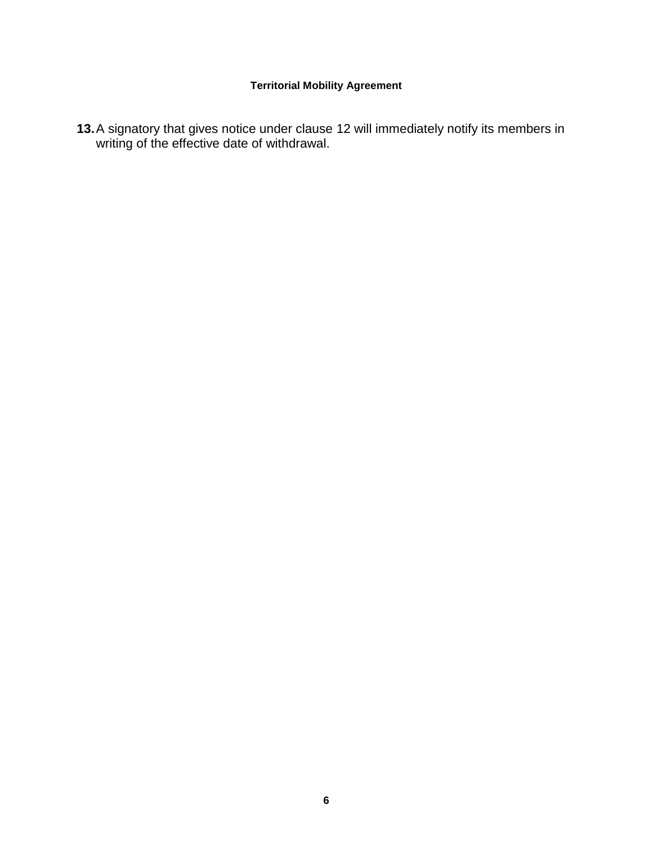**13.**A signatory that gives notice under clause 12 will immediately notify its members in writing of the effective date of withdrawal.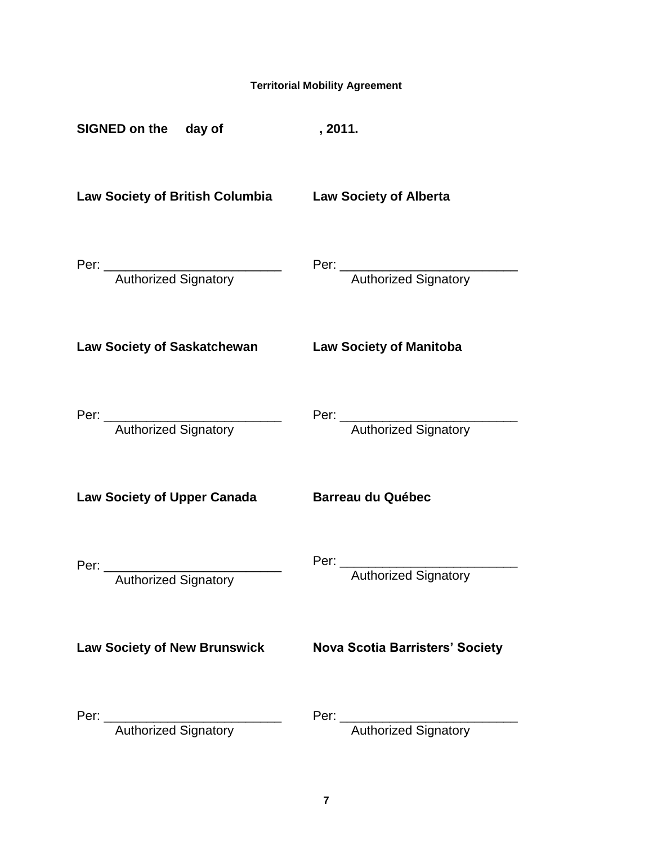| <b>Territorial Mobility Agreement</b>                        |                                                                                                                                                                                                                                                               |
|--------------------------------------------------------------|---------------------------------------------------------------------------------------------------------------------------------------------------------------------------------------------------------------------------------------------------------------|
| SIGNED on the day of                                         | , 2011.                                                                                                                                                                                                                                                       |
| Law Society of British Columbia Law Society of Alberta       |                                                                                                                                                                                                                                                               |
| Per: <u>Authorized Signatory</u>                             | Per: <u>Authorized Signatory</u>                                                                                                                                                                                                                              |
| <b>Law Society of Saskatchewan</b>                           | <b>Law Society of Manitoba</b>                                                                                                                                                                                                                                |
| Per: <u>Authorized Signatory</u>                             |                                                                                                                                                                                                                                                               |
| <b>Law Society of Upper Canada</b>                           | <b>Barreau du Québec</b>                                                                                                                                                                                                                                      |
| Per: ________________________<br><b>Authorized Signatory</b> | Per:<br>Authorized Signatory                                                                                                                                                                                                                                  |
| <b>Law Society of New Brunswick</b>                          | <b>Nova Scotia Barristers' Society</b>                                                                                                                                                                                                                        |
| <b>Authorized Signatory</b>                                  | Per: and the contract of the contract of the contract of the contract of the contract of the contract of the contract of the contract of the contract of the contract of the contract of the contract of the contract of the c<br><b>Authorized Signatory</b> |